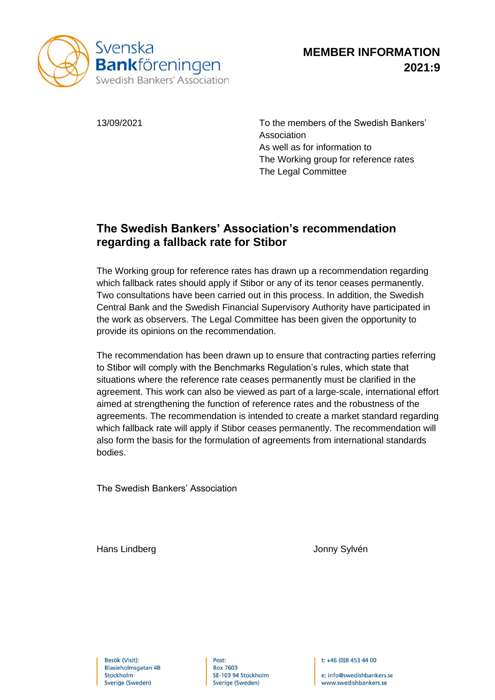

13/09/2021 To the members of the Swedish Bankers' Association As well as for information to The Working group for reference rates The Legal Committee

## **The Swedish Bankers' Association's recommendation regarding a fallback rate for Stibor**

The Working group for reference rates has drawn up a recommendation regarding which fallback rates should apply if Stibor or any of its tenor ceases permanently. Two consultations have been carried out in this process. In addition, the Swedish Central Bank and the Swedish Financial Supervisory Authority have participated in the work as observers. The Legal Committee has been given the opportunity to provide its opinions on the recommendation.

The recommendation has been drawn up to ensure that contracting parties referring to Stibor will comply with the Benchmarks Regulation's rules, which state that situations where the reference rate ceases permanently must be clarified in the agreement. This work can also be viewed as part of a large-scale, international effort aimed at strengthening the function of reference rates and the robustness of the agreements. The recommendation is intended to create a market standard regarding which fallback rate will apply if Stibor ceases permanently. The recommendation will also form the basis for the formulation of agreements from international standards bodies.

The Swedish Bankers' Association

Hans Lindberg **Hans Lindberg Jonny Sylvén** 

Post: **Box 7603** SE-103 94 Stockholm Sverige (Sweden)

t: +46 (0)8 453 44 00

e: info@swedishbankers.se www.swedishbankers.se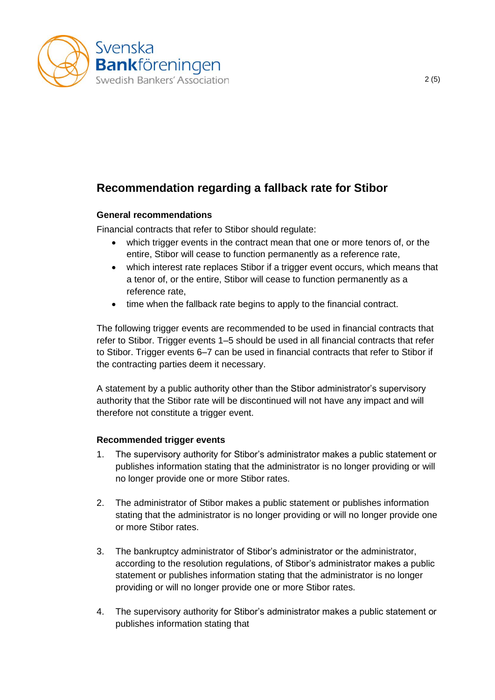

# **Recommendation regarding a fallback rate for Stibor**

### **General recommendations**

Financial contracts that refer to Stibor should regulate:

- which trigger events in the contract mean that one or more tenors of, or the entire, Stibor will cease to function permanently as a reference rate,
- which interest rate replaces Stibor if a trigger event occurs, which means that a tenor of, or the entire, Stibor will cease to function permanently as a reference rate,
- time when the fallback rate begins to apply to the financial contract.

The following trigger events are recommended to be used in financial contracts that refer to Stibor. Trigger events 1–5 should be used in all financial contracts that refer to Stibor. Trigger events 6–7 can be used in financial contracts that refer to Stibor if the contracting parties deem it necessary.

A statement by a public authority other than the Stibor administrator's supervisory authority that the Stibor rate will be discontinued will not have any impact and will therefore not constitute a trigger event.

### **Recommended trigger events**

- 1. The supervisory authority for Stibor's administrator makes a public statement or publishes information stating that the administrator is no longer providing or will no longer provide one or more Stibor rates.
- 2. The administrator of Stibor makes a public statement or publishes information stating that the administrator is no longer providing or will no longer provide one or more Stibor rates.
- 3. The bankruptcy administrator of Stibor's administrator or the administrator, according to the resolution regulations, of Stibor's administrator makes a public statement or publishes information stating that the administrator is no longer providing or will no longer provide one or more Stibor rates.
- 4. The supervisory authority for Stibor's administrator makes a public statement or publishes information stating that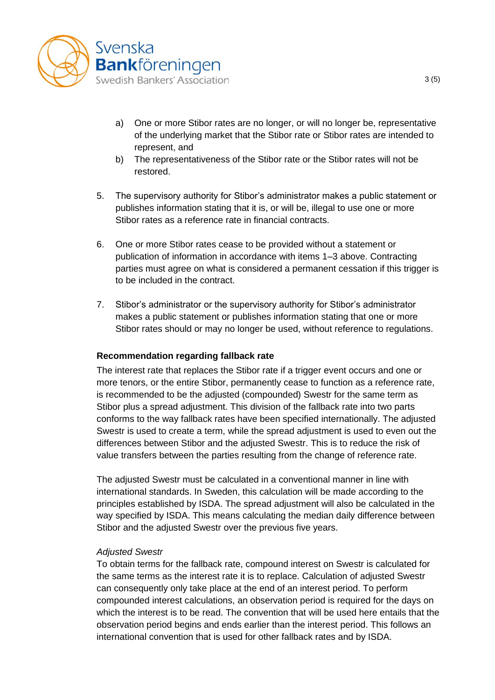

- a) One or more Stibor rates are no longer, or will no longer be, representative of the underlying market that the Stibor rate or Stibor rates are intended to represent, and
- b) The representativeness of the Stibor rate or the Stibor rates will not be restored.
- 5. The supervisory authority for Stibor's administrator makes a public statement or publishes information stating that it is, or will be, illegal to use one or more Stibor rates as a reference rate in financial contracts.
- 6. One or more Stibor rates cease to be provided without a statement or publication of information in accordance with items 1–3 above. Contracting parties must agree on what is considered a permanent cessation if this trigger is to be included in the contract.
- 7. Stibor's administrator or the supervisory authority for Stibor's administrator makes a public statement or publishes information stating that one or more Stibor rates should or may no longer be used, without reference to regulations.

#### **Recommendation regarding fallback rate**

The interest rate that replaces the Stibor rate if a trigger event occurs and one or more tenors, or the entire Stibor, permanently cease to function as a reference rate, is recommended to be the adjusted (compounded) Swestr for the same term as Stibor plus a spread adjustment. This division of the fallback rate into two parts conforms to the way fallback rates have been specified internationally. The adjusted Swestr is used to create a term, while the spread adjustment is used to even out the differences between Stibor and the adjusted Swestr. This is to reduce the risk of value transfers between the parties resulting from the change of reference rate.

The adjusted Swestr must be calculated in a conventional manner in line with international standards. In Sweden, this calculation will be made according to the principles established by ISDA. The spread adjustment will also be calculated in the way specified by ISDA. This means calculating the median daily difference between Stibor and the adjusted Swestr over the previous five years.

#### *Adjusted Swestr*

To obtain terms for the fallback rate, compound interest on Swestr is calculated for the same terms as the interest rate it is to replace. Calculation of adjusted Swestr can consequently only take place at the end of an interest period. To perform compounded interest calculations, an observation period is required for the days on which the interest is to be read. The convention that will be used here entails that the observation period begins and ends earlier than the interest period. This follows an international convention that is used for other fallback rates and by ISDA.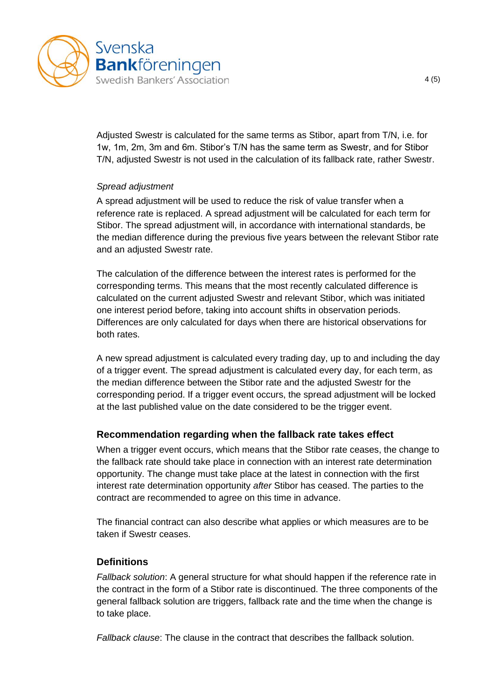

Adjusted Swestr is calculated for the same terms as Stibor, apart from T/N, i.e. for 1w, 1m, 2m, 3m and 6m. Stibor's T/N has the same term as Swestr, and for Stibor T/N, adjusted Swestr is not used in the calculation of its fallback rate, rather Swestr.

### *Spread adjustment*

A spread adjustment will be used to reduce the risk of value transfer when a reference rate is replaced. A spread adjustment will be calculated for each term for Stibor. The spread adjustment will, in accordance with international standards, be the median difference during the previous five years between the relevant Stibor rate and an adjusted Swestr rate.

The calculation of the difference between the interest rates is performed for the corresponding terms. This means that the most recently calculated difference is calculated on the current adjusted Swestr and relevant Stibor, which was initiated one interest period before, taking into account shifts in observation periods. Differences are only calculated for days when there are historical observations for both rates.

A new spread adjustment is calculated every trading day, up to and including the day of a trigger event. The spread adjustment is calculated every day, for each term, as the median difference between the Stibor rate and the adjusted Swestr for the corresponding period. If a trigger event occurs, the spread adjustment will be locked at the last published value on the date considered to be the trigger event.

## **Recommendation regarding when the fallback rate takes effect**

When a trigger event occurs, which means that the Stibor rate ceases, the change to the fallback rate should take place in connection with an interest rate determination opportunity. The change must take place at the latest in connection with the first interest rate determination opportunity *after* Stibor has ceased. The parties to the contract are recommended to agree on this time in advance.

The financial contract can also describe what applies or which measures are to be taken if Swestr ceases.

## **Definitions**

*Fallback solution*: A general structure for what should happen if the reference rate in the contract in the form of a Stibor rate is discontinued. The three components of the general fallback solution are triggers, fallback rate and the time when the change is to take place.

*Fallback clause*: The clause in the contract that describes the fallback solution.